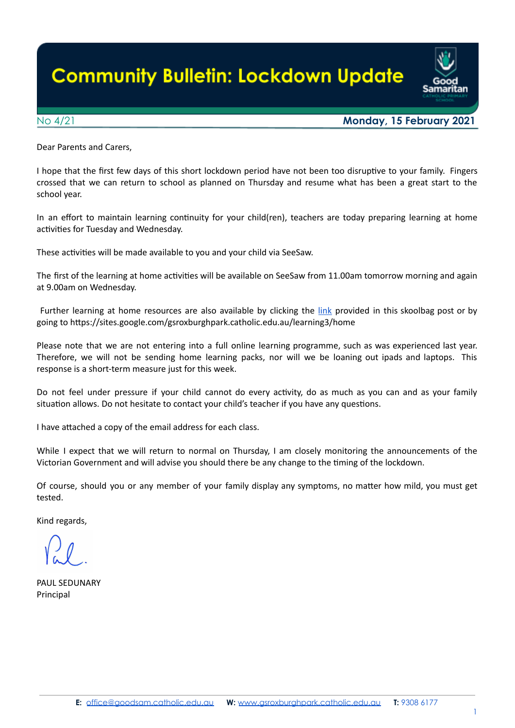# **Community Bulletin: Lockdown Update**



## No 4/21 **Monday, 15 February 2021**

Dear Parents and Carers,

I hope that the first few days of this short lockdown period have not been too disruptive to your family. Fingers crossed that we can return to school as planned on Thursday and resume what has been a great start to the school year.

In an effort to maintain learning continuity for your child(ren), teachers are today preparing learning at home activities for Tuesday and Wednesday.

These activities will be made available to you and your child via SeeSaw.

The first of the learning at home activities will be available on SeeSaw from 11.00am tomorrow morning and again at 9.00am on Wednesday.

Further learning at home resources are also available by clicking the *[link](https://sites.google.com/gsroxburghpark.catholic.edu.au/learning3/home?authuser=0)* provided in this skoolbag post or by going to hps://sites.google.com/gsroxburghpark.catholic.edu.au/learning3/home

Please note that we are not entering into a full online learning programme, such as was experienced last year. Therefore, we will not be sending home learning packs, nor will we be loaning out ipads and laptops. This response is a short-term measure just for this week.

Do not feel under pressure if your child cannot do every activity, do as much as you can and as your family situation allows. Do not hesitate to contact your child's teacher if you have any questions.

I have attached a copy of the email address for each class.

While I expect that we will return to normal on Thursday, I am closely monitoring the announcements of the Victorian Government and will advise you should there be any change to the ming of the lockdown.

Of course, should you or any member of your family display any symptoms, no matter how mild, you must get tested.

Kind regards,

PAUL SEDUNARY Principal